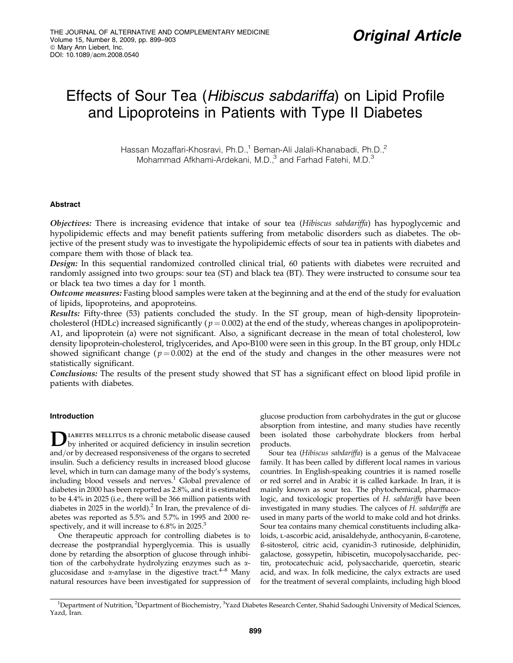# Effects of Sour Tea (Hibiscus sabdariffa) on Lipid Profile and Lipoproteins in Patients with Type II Diabetes

Hassan Mozaffari-Khosravi, Ph.D.,<sup>1</sup> Beman-Ali Jalali-Khanabadi, Ph.D.,<sup>2</sup> Mohammad Afkhami-Ardekani, M.D.,<sup>3</sup> and Farhad Fatehi, M.D.<sup>3</sup>

# Abstract

Objectives: There is increasing evidence that intake of sour tea (Hibiscus sabdariffa) has hypoglycemic and hypolipidemic effects and may benefit patients suffering from metabolic disorders such as diabetes. The objective of the present study was to investigate the hypolipidemic effects of sour tea in patients with diabetes and compare them with those of black tea.

Design: In this sequential randomized controlled clinical trial, 60 patients with diabetes were recruited and randomly assigned into two groups: sour tea (ST) and black tea (BT). They were instructed to consume sour tea or black tea two times a day for 1 month.

Outcome measures: Fasting blood samples were taken at the beginning and at the end of the study for evaluation of lipids, lipoproteins, and apoproteins.

Results: Fifty-three (53) patients concluded the study. In the ST group, mean of high-density lipoproteincholesterol (HDLc) increased significantly ( $p = 0.002$ ) at the end of the study, whereas changes in apolipoprotein-A1, and lipoprotein (a) were not significant. Also, a significant decrease in the mean of total cholesterol, low density lipoprotein-cholesterol, triglycerides, and Apo-B100 were seen in this group. In the BT group, only HDLc showed significant change ( $p = 0.002$ ) at the end of the study and changes in the other measures were not statistically significant.

Conclusions: The results of the present study showed that ST has a significant effect on blood lipid profile in patients with diabetes.

# Introduction

**D**IABETES MELLITUS IS a chronic metabolic disease caused<br>by inherited or acquired deficiency in insulin secretion and/or by decreased responsiveness of the organs to secreted insulin. Such a deficiency results in increased blood glucose level, which in turn can damage many of the body's systems, including blood vessels and nerves.<sup>1</sup> Global prevalence of diabetes in 2000 has been reported as 2.8%, and it is estimated to be 4.4% in 2025 (i.e., there will be 366 million patients with diabetes in 2025 in the world).<sup>2</sup> In Iran, the prevalence of diabetes was reported as 5.5% and 5.7% in 1995 and 2000 respectively, and it will increase to  $6.8\%$  in  $2025.^3$ 

One therapeutic approach for controlling diabetes is to decrease the postprandial hyperglycemia. This is usually done by retarding the absorption of glucose through inhibition of the carbohydrate hydrolyzing enzymes such as aglucosidase and  $\alpha$ -amylase in the digestive tract.<sup>4–8</sup> Many natural resources have been investigated for suppression of glucose production from carbohydrates in the gut or glucose absorption from intestine, and many studies have recently been isolated those carbohydrate blockers from herbal products.

Sour tea (Hibiscus sabdariffa) is a genus of the Malvaceae family. It has been called by different local names in various countries. In English-speaking countries it is named roselle or red sorrel and in Arabic it is called karkade. In Iran, it is mainly known as sour tea. The phytochemical, pharmacologic, and toxicologic properties of H. sabdariffa have been investigated in many studies. The calyces of H. sabdariffa are used in many parts of the world to make cold and hot drinks. Sour tea contains many chemical constituents including alkaloids, l-ascorbic acid, anisaldehyde, anthocyanin, ß-carotene, ß-sitosterol, citric acid, cyanidin-3 rutinoside, delphinidin, galactose, gossypetin, hibiscetin, mucopolysaccharide, pectin, protocatechuic acid, polysaccharide, quercetin, stearic acid, and wax. In folk medicine, the calyx extracts are used for the treatment of several complaints, including high blood

<sup>&</sup>lt;sup>1</sup>Department of Nutrition, <sup>2</sup>Department of Biochemistry, <sup>3</sup>Yazd Diabetes Research Center, Shahid Sadoughi University of Medical Sciences, Yazd, Iran.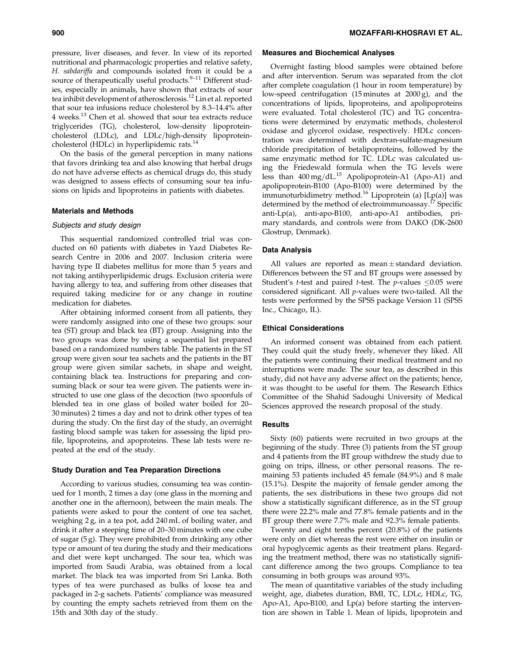pressure, liver diseases, and fever. In view of its reported nutritional and pharmacologic properties and relative safety, H. sabdariffa and compounds isolated from it could be a source of therapeutically useful products. $9-11$  Different studies, especially in animals, have shown that extracts of sour tea inhibit development of atherosclerosis.<sup>12</sup> Lin et al. reported that sour tea infusions reduce cholesterol by 8.3–14.4% after 4 weeks.13 Chen et al. showed that sour tea extracts reduce triglycerides (TG), cholesterol, low-density lipoproteincholesterol (LDLc), and LDLc/high-density lipoproteincholesterol (HDLc) in hyperlipidemic rats.<sup>14</sup>

On the basis of the general perception in many nations that favors drinking tea and also knowing that herbal drugs do not have adverse effects as chemical drugs do, this study was designed to assess effects of consuming sour tea infusions on lipids and lipoproteins in patients with diabetes.

#### Materials and Methods

# Subjects and study design

This sequential randomized controlled trial was conducted on 60 patients with diabetes in Yazd Diabetes Research Centre in 2006 and 2007. Inclusion criteria were having type II diabetes mellitus for more than 5 years and not taking antihyperlipidemic drugs. Exclusion criteria were having allergy to tea, and suffering from other diseases that required taking medicine for or any change in routine medication for diabetes.

After obtaining informed consent from all patients, they were randomly assigned into one of these two groups: sour tea (ST) group and black tea (BT) group. Assigning into the two groups was done by using a sequential list prepared based on a randomized numbers table. The patients in the ST group were given sour tea sachets and the patients in the BT group were given similar sachets, in shape and weight, containing black tea. Instructions for preparing and consuming black or sour tea were given. The patients were instructed to use one glass of the decoction (two spoonfuls of blended tea in one glass of boiled water boiled for 20– 30 minutes) 2 times a day and not to drink other types of tea during the study. On the first day of the study, an overnight fasting blood sample was taken for assessing the lipid profile, lipoproteins, and apoproteins. These lab tests were repeated at the end of the study.

#### Study Duration and Tea Preparation Directions

According to various studies, consuming tea was continued for 1 month, 2 times a day (one glass in the morning and another one in the afternoon), between the main meals. The patients were asked to pour the content of one tea sachet, weighing 2 g, in a tea pot, add 240 mL of boiling water, and drink it after a steeping time of 20–30 minutes with one cube of sugar (5 g). They were prohibited from drinking any other type or amount of tea during the study and their medications and diet were kept unchanged. The sour tea, which was imported from Saudi Arabia, was obtained from a local market. The black tea was imported from Sri Lanka. Both types of tea were purchased as bulks of loose tea and packaged in 2-g sachets. Patients' compliance was measured by counting the empty sachets retrieved from them on the 15th and 30th day of the study.

#### Measures and Biochemical Analyses

Overnight fasting blood samples were obtained before and after intervention. Serum was separated from the clot after complete coagulation (1 hour in room temperature) by low-speed centrifugation (15 minutes at 2000 g), and the concentrations of lipids, lipoproteins, and apolipoproteins were evaluated. Total cholesterol (TC) and TG concentrations were determined by enzymatic methods, cholesterol oxidase and glycerol oxidase, respectively. HDLc concentration was determined with dextran-sulfate-magnesium chloride precipitation of betalipoproteins, followed by the same enzymatic method for TC. LDLc was calculated using the Friedewald formula when the TG levels were less than  $400 \text{ mg}/dL^{15}$  Apolipoprotein-A1 (Apo-A1) and apolipoprotein-B100 (Apo-B100) were determined by the immunoturbidimetry method.<sup>16</sup> Lipoprotein (a)  $[Lp(a)]$  was determined by the method of electroimmunoassay.<sup>17</sup> Specific anti-Lp(a), anti-apo-B100, anti-apo-A1 antibodies, primary standards, and controls were from DAKO (DK-2600 Glostrup, Denmark).

#### Data Analysis

All values are reported as mean  $\pm$  standard deviation. Differences between the ST and BT groups were assessed by Student's t-test and paired t-test. The p-values  $\leq$ 0.05 were considered significant. All p-values were two-tailed. All the tests were performed by the SPSS package Version 11 (SPSS Inc., Chicago, IL).

#### Ethical Considerations

An informed consent was obtained from each patient. They could quit the study freely, whenever they liked. All the patients were continuing their medical treatment and no interruptions were made. The sour tea, as described in this study, did not have any adverse affect on the patients; hence, it was thought to be useful for them. The Research Ethics Committee of the Shahid Sadoughi University of Medical Sciences approved the research proposal of the study.

#### **Results**

Sixty (60) patients were recruited in two groups at the beginning of the study. Three (3) patients from the ST group and 4 patients from the BT group withdrew the study due to going on trips, illness, or other personal reasons. The remaining 53 patients included 45 female (84.9%) and 8 male (15.1%). Despite the majority of female gender among the patients, the sex distributions in these two groups did not show a statistically significant difference, as in the ST group there were 22.2% male and 77.8% female patients and in the BT group there were 7.7% male and 92.3% female patients.

Twenty and eight tenths percent (20.8%) of the patients were only on diet whereas the rest were either on insulin or oral hypoglycemic agents as their treatment plans. Regarding the treatment method, there was no statistically significant difference among the two groups. Compliance to tea consuming in both groups was around 93%.

The mean of quantitative variables of the study including weight, age, diabetes duration, BMI, TC, LDLc, HDLc, TG, Apo-A1, Apo-B100, and Lp(a) before starting the intervention are shown in Table 1. Mean of lipids, lipoprotein and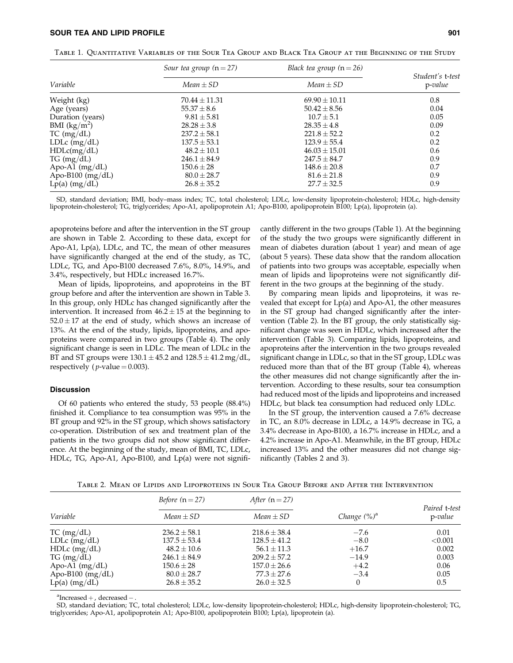## SOUR TEA AND LIPID PROFILE 901

|                    | Sour tea group $(n=27)$ | Black tea group $(n=26)$ | Student's t-test<br>$p$ -value |
|--------------------|-------------------------|--------------------------|--------------------------------|
| Variable           | $Mean \pm SD$           | $Mean \pm SD$            |                                |
| Weight (kg)        | $70.44 \pm 11.31$       | $69.90 \pm 10.11$        | 0.8                            |
| Age (years)        | $55.37 \pm 8.6$         | $50.42 \pm 8.56$         | 0.04                           |
| Duration (years)   | $9.81 \pm 5.81$         | $10.7 \pm 5.1$           | 0.05                           |
| BMI $(kg/m^2)$     | $28.28 \pm 3.8$         | $28.35 \pm 4.8$          | 0.09                           |
| TC (mg/dL)         | $237.2 \pm 58.1$        | $221.8 \pm 52.2$         | 0.2                            |
| $LDLc$ (mg/dL)     | $137.5 \pm 53.1$        | $123.9 \pm 55.4$         | 0.2                            |
| HDLc(mg/dL)        | $48.2 \pm 10.1$         | $46.03 \pm 15.01$        | 0.6                            |
| $TG \, (mg/dL)$    | $246.1 \pm 84.9$        | $247.5 \pm 84.7$         | 0.9                            |
| Apo-A1 $(mg/dL)$   | $150.6 \pm 28$          | $148.6 \pm 20.8$         | 0.7                            |
| Apo-B100 $(mg/dL)$ | $80.0 \pm 28.7$         | $81.6 \pm 21.8$          | 0.9                            |
| $Lp(a)$ (mg/dL)    | $26.8 \pm 35.2$         | $27.7 \pm 32.5$          | 0.9                            |

Table 1. Quantitative Variables of the Sour Tea Group and Black Tea Group at the Beginning of the Study

SD, standard deviation; BMI, body–mass index; TC, total cholesterol; LDLc, low-density lipoprotein-cholesterol; HDLc, high-density lipoprotein-cholesterol; TG, triglycerides; Apo-A1, apolipoprotein A1; Apo-B100, apolipoprotein B100; Lp(a), lipoprotein (a).

apoproteins before and after the intervention in the ST group are shown in Table 2. According to these data, except for Apo-A1, Lp(a), LDLc, and TC, the mean of other measures have significantly changed at the end of the study, as TC, LDLc, TG, and Apo-B100 decreased 7.6%, 8.0%, 14.9%, and 3.4%, respectively, but HDLc increased 16.7%.

Mean of lipids, lipoproteins, and apoproteins in the BT group before and after the intervention are shown in Table 3. In this group, only HDLc has changed significantly after the intervention. It increased from  $46.2 \pm 15$  at the beginning to  $52.0 \pm 17$  at the end of study, which shows an increase of 13%. At the end of the study, lipids, lipoproteins, and apoproteins were compared in two groups (Table 4). The only significant change is seen in LDLc. The mean of LDLc in the BT and ST groups were  $130.1 \pm 45.2$  and  $128.5 \pm 41.2$  mg/dL, respectively ( $p$ -value = 0.003).

## **Discussion**

Of 60 patients who entered the study, 53 people (88.4%) finished it. Compliance to tea consumption was 95% in the BT group and 92% in the ST group, which shows satisfactory co-operation. Distribution of sex and treatment plan of the patients in the two groups did not show significant difference. At the beginning of the study, mean of BMI, TC, LDLc, HDLc, TG, Apo-A1, Apo-B100, and Lp(a) were not significantly different in the two groups (Table 1). At the beginning of the study the two groups were significantly different in mean of diabetes duration (about 1 year) and mean of age (about 5 years). These data show that the random allocation of patients into two groups was acceptable, especially when mean of lipids and lipoproteins were not significantly different in the two groups at the beginning of the study.

By comparing mean lipids and lipoproteins, it was revealed that except for Lp(a) and Apo-A1, the other measures in the ST group had changed significantly after the intervention (Table 2). In the BT group, the only statistically significant change was seen in HDLc, which increased after the intervention (Table 3). Comparing lipids, lipoproteins, and apoproteins after the intervention in the two groups revealed significant change in LDLc, so that in the ST group, LDLc was reduced more than that of the BT group (Table 4), whereas the other measures did not change significantly after the intervention. According to these results, sour tea consumption had reduced most of the lipids and lipoproteins and increased HDLc, but black tea consumption had reduced only LDLc.

In the ST group, the intervention caused a 7.6% decrease in TC, an 8.0% decrease in LDLc, a 14.9% decrease in TG, a 3.4% decrease in Apo-B100, a 16.7% increase in HDLc, and a 4.2% increase in Apo-A1. Meanwhile, in the BT group, HDLc increased 13% and the other measures did not change significantly (Tables 2 and 3).

Table 2. Mean of Lipids and Lipoproteins in Sour Tea Group Before and After the Intervention

|                    | <i>Before</i> $(n=27)$ | After $(n=27)$   |                 |                             |
|--------------------|------------------------|------------------|-----------------|-----------------------------|
| Variable           | $Mean \pm SD$          | $Mean \pm SD$    | Change $(\%)^a$ | Paired t-test<br>$p$ -value |
| TC (mg/dL)         | $236.2 \pm 58.1$       | $218.6 \pm 38.4$ | $-7.6$          | 0.01                        |
| LDL $c$ (mg/dL)    | $137.5 \pm 53.4$       | $128.5 \pm 41.2$ | $-8.0$          | < 0.001                     |
| $HDLc$ (mg/dL)     | $48.2 \pm 10.6$        | $56.1 \pm 11.3$  | $+16.7$         | 0.002                       |
| $TG \, (mg/dL)$    | $246.1 \pm 84.9$       | $209.2 \pm 57.2$ | $-14.9$         | 0.003                       |
| Apo-A1 $(mg/dL)$   | $150.6 \pm 28$         | $157.0 \pm 26.6$ | $+4.2$          | 0.06                        |
| Apo-B100 $(mg/dL)$ | $80.0 \pm 28.7$        | $77.3 \pm 27.6$  | $-3.4$          | 0.05                        |
| $Lp(a)$ (mg/dL)    | $26.8 \pm 35.2$        | $26.0 \pm 32.5$  | 0               | 0.5                         |

 $a^a$ Increased  $+$ , decreased  $-$ .

SD, standard deviation; TC, total cholesterol; LDLc, low-density lipoprotein-cholesterol; HDLc, high-density lipoprotein-cholesterol; TG, triglycerides; Apo-A1, apolipoprotein A1; Apo-B100, apolipoprotein B100; Lp(a), lipoprotein (a).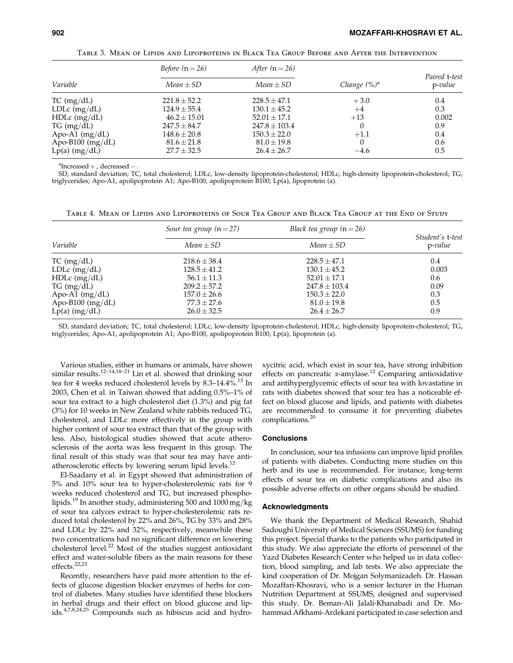Paired t-test

| TABLE 3. MEAN OF LIPIDS AND LIPOPROTEINS IN BLACK TEA GROUP BEFORE AND AFTER THE INTERVENTION |                        |                   |                 |                       |  |
|-----------------------------------------------------------------------------------------------|------------------------|-------------------|-----------------|-----------------------|--|
| Variable                                                                                      | <i>Before</i> $(n=26)$ | After $(n=26)$    |                 | Paired t-t<br>p-value |  |
|                                                                                               | $Mean \pm SD$          | $Mean \pm SD$     | Change $(\%)^a$ |                       |  |
| TC (mg/dL)                                                                                    | $221.8 \pm 52.2$       | $228.5 \pm 47.1$  | $+3.0$          | 0.4                   |  |
| LDL $c$ (mg/dL)                                                                               | $124.9 \pm 55.4$       | $130.1 \pm 45.2$  | $+4$            | 0.3                   |  |
| $HDLc$ (mg/dL)                                                                                | $46.2 \pm 15.01$       | $52.01 \pm 17.1$  | $+13$           | 0.002                 |  |
| $TG \, (mg/dL)$                                                                               | $247.5 \pm 84.7$       | $247.8 \pm 103.4$ |                 | 0.9                   |  |
| Apo-A1 $(mg/dL)$                                                                              | $148.6 \pm 20.8$       | $150.3 \pm 22.0$  | $+1.1$          | 0.4                   |  |
| Apo-B100 $(mg/dL)$                                                                            | $81.6 \pm 21.8$        | $81.0 \pm 19.8$   | $\theta$        | 0.6                   |  |

 $a^2$ Increased  $+$ , decreased  $-$ .

SD, standard deviation; TC, total cholesterol; LDLc, low-density lipoprotein-cholesterol; HDLc, high-density lipoprotein-cholesterol; TG, triglycerides; Apo-A1, apolipoprotein A1; Apo-B100, apolipoprotein B100; Lp(a), lipoprotein (a).

Lp(a)  $\text{(mg/dL)}$  27.7  $\pm$  32.5 26.4  $\pm$  26.7  $-4.6$  0.5

Table 4. Mean of Lipids and Lipoproteins of Sour Tea Group and Black Tea Group at the End of Study

|                    | Sour tea group $(n=27)$ | Black tea group $(n=26)$ |                                |
|--------------------|-------------------------|--------------------------|--------------------------------|
| Variable           | $Mean \pm SD$           | $Mean \pm SD$            | Student's t-test<br>$p$ -value |
| TC (mg/dL)         | $218.6 \pm 38.4$        | $228.5 \pm 47.1$         | 0.4                            |
| LDL $c$ (mg/dL)    | $128.5 \pm 41.2$        | $130.1 \pm 45.2$         | 0.003                          |
| $HDLc$ (mg/dL)     | $56.1 \pm 11.3$         | $52.01 + 17.1$           | 0.6                            |
| $TG \, (mg/dL)$    | $209.2 + 57.2$          | $247.8 + 103.4$          | 0.09                           |
| Apo-A1 $(mg/dL)$   | $157.0 \pm 26.6$        | $150.3 \pm 22.0$         | 0.3                            |
| Apo-B100 $(mg/dL)$ | $77.3 \pm 27.6$         | $81.0 \pm 19.8$          | 0.5                            |
| $Lp(a)$ (mg/dL)    | $26.0 \pm 32.5$         | $26.4 \pm 26.7$          | 0.9                            |

SD, standard deviation; TC, total cholesterol; LDLc, low-density lipoprotein-cholesterol; HDLc, high-density lipoprotein-cholesterol; TG, triglycerides; Apo-A1, apolipoprotein A1; Apo-B100, apolipoprotein B100; Lp(a), lipoprotein (a).

Various studies, either in humans or animals, have shown similar results.<sup>12–14,18–21</sup> Lin et al. showed that drinking sour tea for 4 weeks reduced cholesterol levels by 8.3-14.4%.<sup>13</sup> In 2003, Chen et al. in Taiwan showed that adding 0.5%–1% of sour tea extract to a high cholesterol diet (1.3%) and pig fat (3%) for 10 weeks in New Zealand white rabbits reduced TG, cholesterol, and LDLc more effectively in the group with higher content of sour tea extract than that of the group with less. Also, histological studies showed that acute atherosclerosis of the aorta was less frequent in this group. The final result of this study was that sour tea may have antiatherosclerotic effects by lowering serum lipid levels.<sup>12</sup>

El-Saadany et al. in Egypt showed that administration of 5% and 10% sour tea to hyper-cholesterolemic rats for 9 weeks reduced cholesterol and TG, but increased phospholipids.<sup>19</sup> In another study, administering 500 and 1000 mg/kg of sour tea calyces extract to hyper-cholesterolemic rats reduced total cholesterol by 22% and 26%, TG by 33% and 28% and LDLc by 22% and 32%, respectively, meanwhile these two concentrations had no significant difference on lowering cholesterol level.<sup>22</sup> Most of the studies suggest antioxidant effect and water-soluble fibers as the main reasons for these effects.<sup>22,23</sup>

Recently, researchers have paid more attention to the effects of glucose digestion blocker enzymes of herbs for control of diabetes. Many studies have identified these blockers in herbal drugs and their effect on blood glucose and lipids.<sup>4,7,8,24,25</sup> Compounds such as hibiscus acid and hydroxycitric acid, which exist in sour tea, have strong inhibition effects on pancreatic  $\alpha$ -amylase.<sup>12</sup> Comparing antioxidative and antihyperglycemic effects of sour tea with lovastatine in rats with diabetes showed that sour tea has a noticeable effect on blood glucose and lipids, and patients with diabetes are recommended to consume it for preventing diabetes complications.<sup>20</sup>

#### **Conclusions**

In conclusion, sour tea infusions can improve lipid profiles of patients with diabetes. Conducting more studies on this herb and its use is recommended. For instance, long-term effects of sour tea on diabetic complications and also its possible adverse effects on other organs should be studied.

#### Acknowledgments

We thank the Department of Medical Research, Shahid Sadoughi University of Medical Sciences (SSUMS) for funding this project. Special thanks to the patients who participated in this study. We also appreciate the efforts of personnel of the Yazd Diabetes Research Center who helped us in data collection, blood sampling, and lab tests. We also appreciate the kind cooperation of Dr. Mojgan Solymanizadeh. Dr. Hassan Mozaffari-Khosravi, who is a senior lecturer in the Human Nutrition Department at SSUMS, designed and supervised this study. Dr. Beman-Ali Jalali-Khanabadi and Dr. Mohammad Afkhami-Ardekani participated in case selection and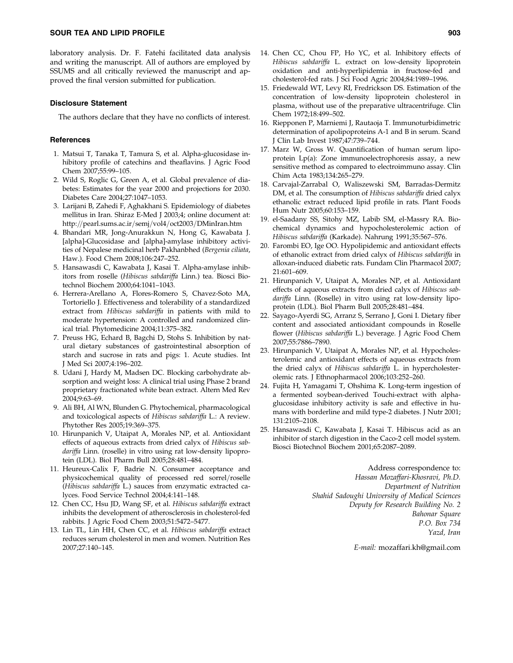laboratory analysis. Dr. F. Fatehi facilitated data analysis and writing the manuscript. All of authors are employed by SSUMS and all critically reviewed the manuscript and approved the final version submitted for publication.

#### Disclosure Statement

The authors declare that they have no conflicts of interest.

#### **References**

- 1. Matsui T, Tanaka T, Tamura S, et al. Alpha-glucosidase inhibitory profile of catechins and theaflavins. J Agric Food Chem 2007;55:99–105.
- 2. Wild S, Roglic G, Green A, et al. Global prevalence of diabetes: Estimates for the year 2000 and projections for 2030. Diabetes Care 2004;27:1047–1053.
- 3. Larijani B, Zahedi F, Aghakhani S. Epidemiology of diabetes mellitus in Iran. Shiraz E-Med J 2003;4; online document at: http://pearl.sums.ac.ir/semj/vol4/oct2003/DMinIran.htm
- 4. Bhandari MR, Jong-Anurakkun N, Hong G, Kawabata J. [alpha]-Glucosidase and [alpha]-amylase inhibitory activities of Nepalese medicinal herb Pakhanbhed (Bergenia ciliata, Haw.). Food Chem 2008;106:247–252.
- 5. Hansawasdi C, Kawabata J, Kasai T. Alpha-amylase inhibitors from roselle (Hibiscus sabdariffa Linn.) tea. Biosci Biotechnol Biochem 2000;64:1041–1043.
- 6. Herrera-Arellano A, Flores-Romero S, Chavez-Soto MA, Tortoriello J. Effectiveness and tolerability of a standardized extract from Hibiscus sabdariffa in patients with mild to moderate hypertension: A controlled and randomized clinical trial. Phytomedicine 2004;11:375–382.
- 7. Preuss HG, Echard B, Bagchi D, Stohs S. Inhibition by natural dietary substances of gastrointestinal absorption of starch and sucrose in rats and pigs: 1. Acute studies. Int J Med Sci 2007;4:196–202.
- 8. Udani J, Hardy M, Madsen DC. Blocking carbohydrate absorption and weight loss: A clinical trial using Phase 2 brand proprietary fractionated white bean extract. Altern Med Rev 2004;9:63–69.
- 9. Ali BH, Al WN, Blunden G. Phytochemical, pharmacological and toxicological aspects of Hibiscus sabdariffa L.: A review. Phytother Res 2005;19:369–375.
- 10. Hirunpanich V, Utaipat A, Morales NP, et al. Antioxidant effects of aqueous extracts from dried calyx of Hibiscus sabdariffa Linn. (roselle) in vitro using rat low-density lipoprotein (LDL). Biol Pharm Bull 2005;28:481–484.
- 11. Heureux-Calix F, Badrie N. Consumer acceptance and physicochemical quality of processed red sorrel/roselle (Hibiscus sabdariffa L.) sauces from enzymatic extracted calyces. Food Service Technol 2004;4:141–148.
- 12. Chen CC, Hsu JD, Wang SF, et al. Hibiscus sabdariffa extract inhibits the development of atherosclerosis in cholesterol-fed rabbits. J Agric Food Chem 2003;51:5472–5477.
- 13. Lin TL, Lin HH, Chen CC, et al. Hibiscus sabdariffa extract reduces serum cholesterol in men and women. Nutrition Res 2007;27:140–145.
- 14. Chen CC, Chou FP, Ho YC, et al. Inhibitory effects of Hibiscus sabdariffa L. extract on low-density lipoprotein oxidation and anti-hyperlipidemia in fructose-fed and cholesterol-fed rats. J Sci Food Agric 2004;84:1989–1996.
- 15. Friedewald WT, Levy RI, Fredrickson DS. Estimation of the concentration of low-density lipoprotein cholesterol in plasma, without use of the preparative ultracentrifuge. Clin Chem 1972;18:499–502.
- 16. Riepponen P, Marniemi J, Rautaoja T. Immunoturbidimetric determination of apolipoproteins A-1 and B in serum. Scand J Clin Lab Invest 1987;47:739–744.
- 17. Marz W, Gross W. Quantification of human serum lipoprotein Lp(a): Zone immunoelectrophoresis assay, a new sensitive method as compared to electroimmuno assay. Clin Chim Acta 1983;134:265–279.
- 18. Carvajal-Zarrabal O, Waliszewski SM, Barradas-Dermitz DM, et al. The consumption of Hibiscus sabdariffa dried calyx ethanolic extract reduced lipid profile in rats. Plant Foods Hum Nutr 2005;60:153–159.
- 19. el-Saadany SS, Sitohy MZ, Labib SM, el-Massry RA. Biochemical dynamics and hypocholesterolemic action of Hibiscus sabdariffa (Karkade). Nahrung 1991;35:567–576.
- 20. Farombi EO, Ige OO. Hypolipidemic and antioxidant effects of ethanolic extract from dried calyx of Hibiscus sabdariffa in alloxan-induced diabetic rats. Fundam Clin Pharmacol 2007; 21:601–609.
- 21. Hirunpanich V, Utaipat A, Morales NP, et al. Antioxidant effects of aqueous extracts from dried calyx of Hibiscus sabdariffa Linn. (Roselle) in vitro using rat low-density lipoprotein (LDL). Biol Pharm Bull 2005;28:481–484.
- 22. Sayago-Ayerdi SG, Arranz S, Serrano J, Goni I. Dietary fiber content and associated antioxidant compounds in Roselle flower (Hibiscus sabdariffa L.) beverage. J Agric Food Chem 2007;55:7886–7890.
- 23. Hirunpanich V, Utaipat A, Morales NP, et al. Hypocholesterolemic and antioxidant effects of aqueous extracts from the dried calyx of Hibiscus sabdariffa L. in hypercholesterolemic rats. J Ethnopharmacol 2006;103:252–260.
- 24. Fujita H, Yamagami T, Ohshima K. Long-term ingestion of a fermented soybean-derived Touchi-extract with alphaglucosidase inhibitory activity is safe and effective in humans with borderline and mild type-2 diabetes. J Nutr 2001; 131:2105–2108.
- 25. Hansawasdi C, Kawabata J, Kasai T. Hibiscus acid as an inhibitor of starch digestion in the Caco-2 cell model system. Biosci Biotechnol Biochem 2001;65:2087–2089.

Address correspondence to: Hassan Mozaffari-Khosravi, Ph.D. Department of Nutrition Shahid Sadoughi University of Medical Sciences Deputy for Research Building No. 2 Bahonar Square P.O. Box 734 Yazd, Iran

E-mail: mozaffari.kh@gmail.com